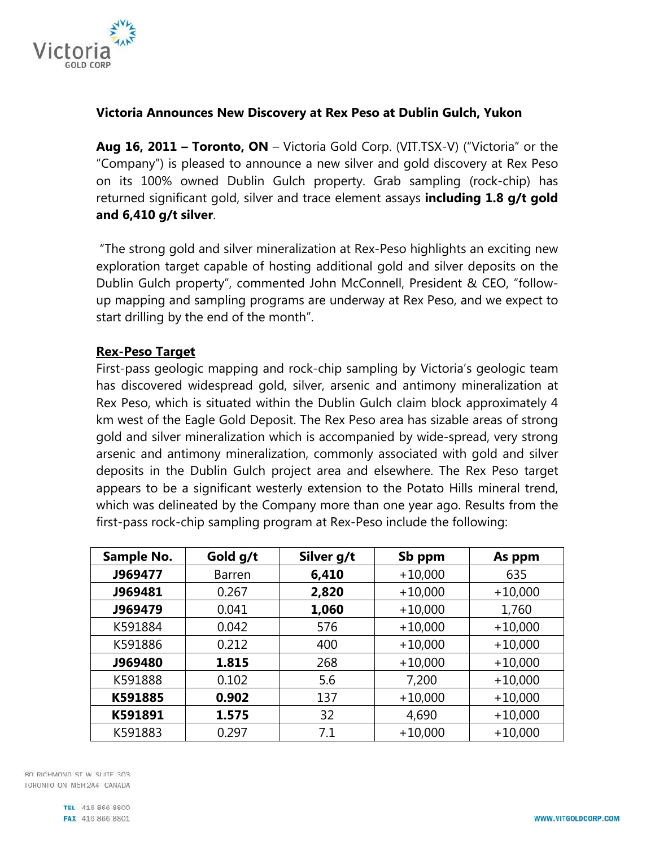

## **Victoria Announces New Discovery at Rex Peso at Dublin Gulch, Yukon**

**Aug 16, 2011 – Toronto, ON** – Victoria Gold Corp. (VIT.TSX-V) ("Victoria" or the "Company") is pleased to announce a new silver and gold discovery at Rex Peso on its 100% owned Dublin Gulch property. Grab sampling (rock-chip) has returned significant gold, silver and trace element assays **including 1.8 g/t gold and 6,410 g/t silver**.

 "The strong gold and silver mineralization at Rex-Peso highlights an exciting new exploration target capable of hosting additional gold and silver deposits on the Dublin Gulch property", commented John McConnell, President & CEO, "followup mapping and sampling programs are underway at Rex Peso, and we expect to start drilling by the end of the month".

## **Rex-Peso Target**

First-pass geologic mapping and rock-chip sampling by Victoria's geologic team has discovered widespread gold, silver, arsenic and antimony mineralization at Rex Peso, which is situated within the Dublin Gulch claim block approximately 4 km west of the Eagle Gold Deposit. The Rex Peso area has sizable areas of strong gold and silver mineralization which is accompanied by wide-spread, very strong arsenic and antimony mineralization, commonly associated with gold and silver deposits in the Dublin Gulch project area and elsewhere. The Rex Peso target appears to be a significant westerly extension to the Potato Hills mineral trend, which was delineated by the Company more than one year ago. Results from the first-pass rock-chip sampling program at Rex-Peso include the following:

| Sample No. | Gold g/t      | Silver g/t | Sb ppm    | As ppm    |
|------------|---------------|------------|-----------|-----------|
| J969477    | <b>Barren</b> | 6,410      | $+10,000$ | 635       |
| J969481    | 0.267         | 2,820      | $+10,000$ | $+10,000$ |
| J969479    | 0.041         | 1,060      | $+10,000$ | 1,760     |
| K591884    | 0.042         | 576        | $+10,000$ | $+10,000$ |
| K591886    | 0.212         | 400        | $+10,000$ | $+10,000$ |
| J969480    | 1.815         | 268        | $+10,000$ | $+10,000$ |
| K591888    | 0.102         | 5.6        | 7,200     | $+10,000$ |
| K591885    | 0.902         | 137        | $+10,000$ | $+10,000$ |
| K591891    | 1.575         | 32         | 4,690     | $+10,000$ |
| K591883    | 0.297         | 7.1        | $+10,000$ | $+10,000$ |

80 RICHMOND ST W SUITE 303 TORONTO ON M5H2A4 CANADA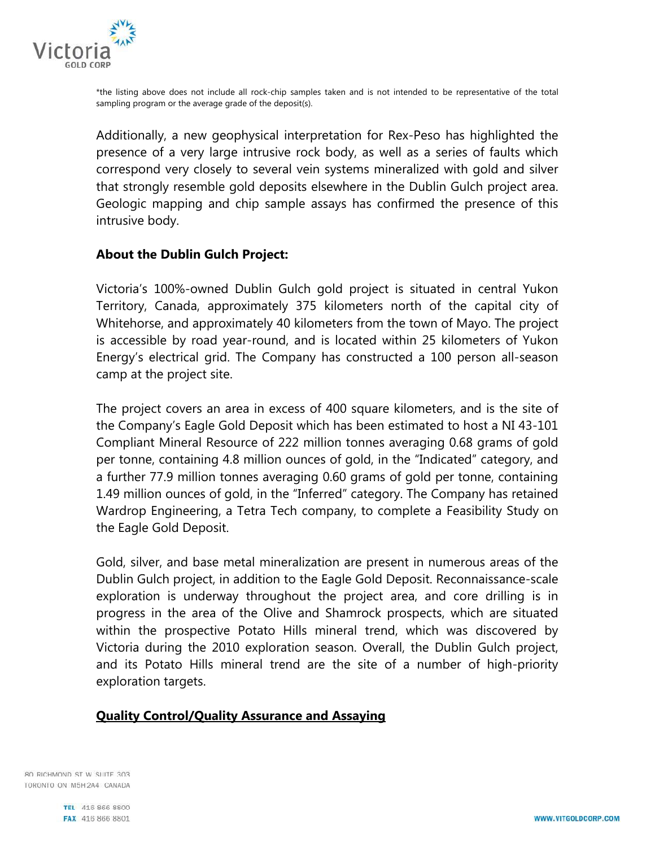

\*the listing above does not include all rock-chip samples taken and is not intended to be representative of the total sampling program or the average grade of the deposit(s).

Additionally, a new geophysical interpretation for Rex-Peso has highlighted the presence of a very large intrusive rock body, as well as a series of faults which correspond very closely to several vein systems mineralized with gold and silver that strongly resemble gold deposits elsewhere in the Dublin Gulch project area. Geologic mapping and chip sample assays has confirmed the presence of this intrusive body.

## **About the Dublin Gulch Project:**

Victoria's 100%-owned Dublin Gulch gold project is situated in central Yukon Territory, Canada, approximately 375 kilometers north of the capital city of Whitehorse, and approximately 40 kilometers from the town of Mayo. The project is accessible by road year-round, and is located within 25 kilometers of Yukon Energy's electrical grid. The Company has constructed a 100 person all-season camp at the project site.

The project covers an area in excess of 400 square kilometers, and is the site of the Company's Eagle Gold Deposit which has been estimated to host a NI 43-101 Compliant Mineral Resource of 222 million tonnes averaging 0.68 grams of gold per tonne, containing 4.8 million ounces of gold, in the "Indicated" category, and a further 77.9 million tonnes averaging 0.60 grams of gold per tonne, containing 1.49 million ounces of gold, in the "Inferred" category. The Company has retained Wardrop Engineering, a Tetra Tech company, to complete a Feasibility Study on the Eagle Gold Deposit.

Gold, silver, and base metal mineralization are present in numerous areas of the Dublin Gulch project, in addition to the Eagle Gold Deposit. Reconnaissance-scale exploration is underway throughout the project area, and core drilling is in progress in the area of the Olive and Shamrock prospects, which are situated within the prospective Potato Hills mineral trend, which was discovered by Victoria during the 2010 exploration season. Overall, the Dublin Gulch project, and its Potato Hills mineral trend are the site of a number of high-priority exploration targets.

## **Quality Control/Quality Assurance and Assaying**

80 RICHMOND ST W SUITE 303 TORONTO ON M5H2A4 CANADA

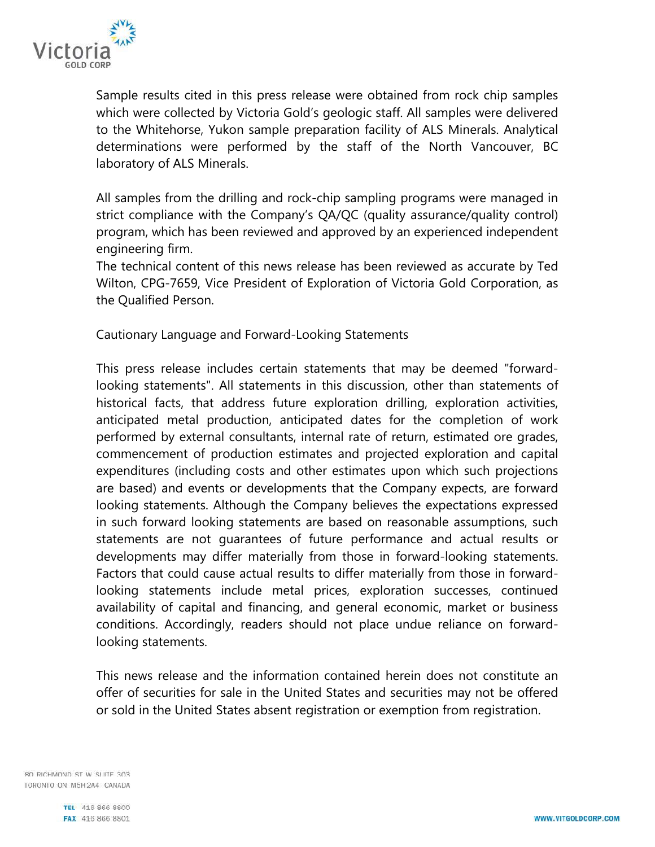

Sample results cited in this press release were obtained from rock chip samples which were collected by Victoria Gold's geologic staff. All samples were delivered to the Whitehorse, Yukon sample preparation facility of ALS Minerals. Analytical determinations were performed by the staff of the North Vancouver, BC laboratory of ALS Minerals.

All samples from the drilling and rock-chip sampling programs were managed in strict compliance with the Company's QA/QC (quality assurance/quality control) program, which has been reviewed and approved by an experienced independent engineering firm.

The technical content of this news release has been reviewed as accurate by Ted Wilton, CPG-7659, Vice President of Exploration of Victoria Gold Corporation, as the Qualified Person.

Cautionary Language and Forward-Looking Statements

This press release includes certain statements that may be deemed "forwardlooking statements". All statements in this discussion, other than statements of historical facts, that address future exploration drilling, exploration activities, anticipated metal production, anticipated dates for the completion of work performed by external consultants, internal rate of return, estimated ore grades, commencement of production estimates and projected exploration and capital expenditures (including costs and other estimates upon which such projections are based) and events or developments that the Company expects, are forward looking statements. Although the Company believes the expectations expressed in such forward looking statements are based on reasonable assumptions, such statements are not guarantees of future performance and actual results or developments may differ materially from those in forward-looking statements. Factors that could cause actual results to differ materially from those in forwardlooking statements include metal prices, exploration successes, continued availability of capital and financing, and general economic, market or business conditions. Accordingly, readers should not place undue reliance on forwardlooking statements.

This news release and the information contained herein does not constitute an offer of securities for sale in the United States and securities may not be offered or sold in the United States absent registration or exemption from registration.

80 RICHMOND ST W SUITE 303 TORONTO ON M5H2A4 CANADA